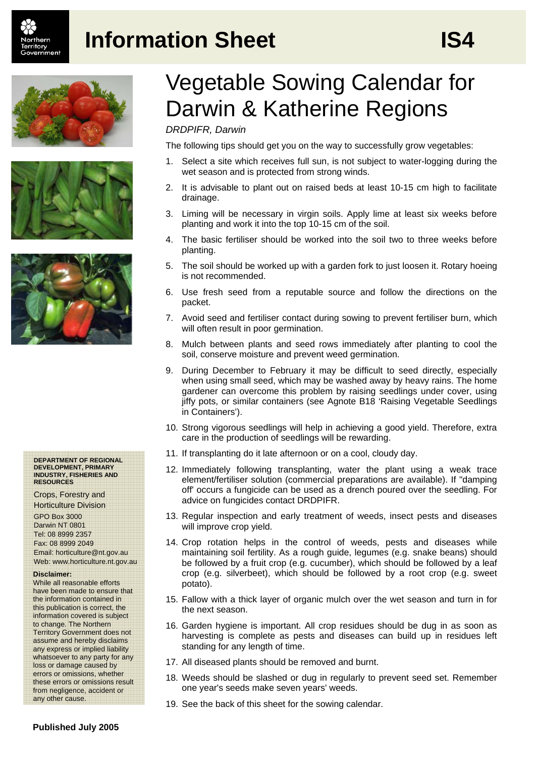

## **Information Sheet IS4**







#### **DEPARTMENT OF REGIONAL DEVELOPMENT, PRIMARY INDUSTRY, FISHERIES AND RESOURCES**

Crops, Forestry and Horticulture Division GPO Box 3000 Darwin NT 0801 Tel: 08 8999 2357 Fax: 08 8999 2049 Email: horticulture@nt.gov.au Web: www.horticulture.nt.gov.au

#### **Disclaimer:**

While all reasonable efforts have been made to ensure that the information contained in this publication is correct, the information covered is subject to change. The Northern Territory Government does not assume and hereby disclaims any express or implied liability whatsoever to any party for any loss or damage caused by errors or omissions, whether these errors or omissions result from negligence, accident or any other cause.

# Vegetable Sowing Calendar for Darwin & Katherine Regions

### *DRDPIFR, Darwin*

The following tips should get you on the way to successfully grow vegetables:

- 1. Select a site which receives full sun, is not subject to water-logging during the wet season and is protected from strong winds.
- 2. It is advisable to plant out on raised beds at least 10-15 cm high to facilitate drainage.
- 3. Liming will be necessary in virgin soils. Apply lime at least six weeks before planting and work it into the top 10-15 cm of the soil.
- 4. The basic fertiliser should be worked into the soil two to three weeks before planting.
- 5. The soil should be worked up with a garden fork to just loosen it. Rotary hoeing is not recommended.
- 6. Use fresh seed from a reputable source and follow the directions on the packet.
- 7. Avoid seed and fertiliser contact during sowing to prevent fertiliser burn, which will often result in poor germination.
- 8. Mulch between plants and seed rows immediately after planting to cool the soil, conserve moisture and prevent weed germination.
- 9. During December to February it may be difficult to seed directly, especially when using small seed, which may be washed away by heavy rains. The home gardener can overcome this problem by raising seedlings under cover, using jiffy pots, or similar containers (see Agnote B18 'Raising Vegetable Seedlings in Containers').
- 10. Strong vigorous seedlings will help in achieving a good yield. Therefore, extra care in the production of seedlings will be rewarding.
- 11. If transplanting do it late afternoon or on a cool, cloudy day.
- 12. Immediately following transplanting, water the plant using a weak trace element/fertiliser solution (commercial preparations are available). If "damping off' occurs a fungicide can be used as a drench poured over the seedling. For advice on fungicides contact DRDPIFR.
- 13. Regular inspection and early treatment of weeds, insect pests and diseases will improve crop yield.
- 14. Crop rotation helps in the control of weeds, pests and diseases while maintaining soil fertility. As a rough guide, legumes (e.g. snake beans) should be followed by a fruit crop (e.g. cucumber), which should be followed by a leaf crop (e.g. silverbeet), which should be followed by a root crop (e.g. sweet potato).
- 15. Fallow with a thick layer of organic mulch over the wet season and turn in for the next season.
- 16. Garden hygiene is important. All crop residues should be dug in as soon as harvesting is complete as pests and diseases can build up in residues left standing for any length of time.
- 17. All diseased plants should be removed and burnt.
- 18. Weeds should be slashed or dug in regularly to prevent seed set. Remember one year's seeds make seven years' weeds.
- 19. See the back of this sheet for the sowing calendar.